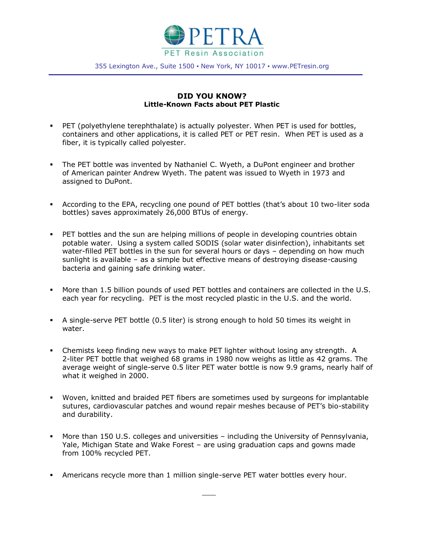

355 Lexington Ave., Suite 1500 · New York, NY 10017 · www.PETresin.org

## **DID YOU KNOW? Little-Known Facts about PET Plastic**

- PET (polyethylene terephthalate) is actually polyester. When PET is used for bottles, containers and other applications, it is called PET or PET resin. When PET is used as a fiber, it is typically called polyester.
- The PET bottle was invented by Nathaniel C. Wyeth, a DuPont engineer and brother of American painter Andrew Wyeth. The patent was issued to Wyeth in 1973 and assigned to DuPont.
- According to the EPA, recycling one pound of PET bottles (that's about 10 two-liter soda bottles) saves approximately 26,000 BTUs of energy.
- PET bottles and the sun are helping millions of people in developing countries obtain potable water. Using a system called SODIS (solar water disinfection), inhabitants set water-filled PET bottles in the sun for several hours or days – depending on how much sunlight is available – as a simple but effective means of destroying disease-causing bacteria and gaining safe drinking water.
- More than 1.5 billion pounds of used PET bottles and containers are collected in the U.S. each year for recycling. PET is the most recycled plastic in the U.S. and the world.
- A single-serve PET bottle (0.5 liter) is strong enough to hold 50 times its weight in water.
- Chemists keep finding new ways to make PET lighter without losing any strength. A 2-liter PET bottle that weighed 68 grams in 1980 now weighs as little as 42 grams. The average weight of single-serve 0.5 liter PET water bottle is now 9.9 grams, nearly half of what it weighed in 2000.
- Woven, knitted and braided PET fibers are sometimes used by surgeons for implantable sutures, cardiovascular patches and wound repair meshes because of PET's bio-stability and durability.
- More than 150 U.S. colleges and universities including the University of Pennsylvania, Yale, Michigan State and Wake Forest – are using graduation caps and gowns made from 100% recycled PET.
- Americans recycle more than 1 million single-serve PET water bottles every hour.